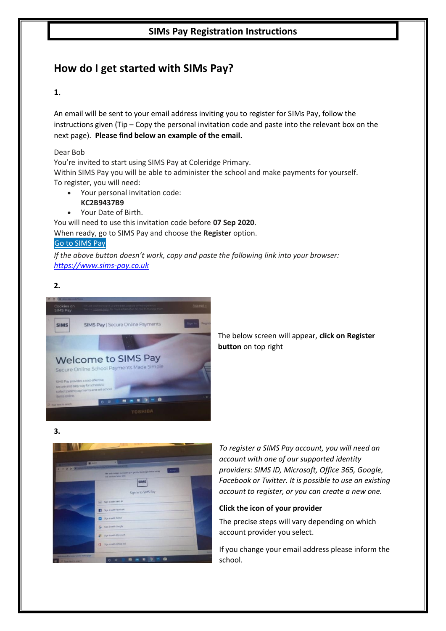## **SIMs Pay Registration Instructions**

## **How do I get started with SIMs Pay?**

## **1.**

An email will be sent to your email address inviting you to register for SIMs Pay, follow the instructions given (Tip – Copy the personal invitation code and paste into the relevant box on the next page). **Please find below an example of the email.**

Dear Bob

You're invited to start using SIMS Pay at Coleridge Primary. Within SIMS Pay you will be able to administer the school and make payments for yourself. To register, you will need:

- Your personal invitation code:
	- **KC2B9437B9**
- Your Date of Birth.

You will need to use this invitation code before **07 Sep 2020**. When ready, go to SIMS Pay and choose the **Register** option.

## Go to [SIMS](https://www.sims-pay.co.uk/) Pay

*If the above button doesn't work, copy and paste the following link into your browser: [https://www.sims-pay.co.uk](https://www.sims-pay.co.uk/)*

## **2.**



The below screen will appear, **click on Register button** on top right

### **3.**



*To register a SIMS Pay account, you will need an account with one of our supported identity providers: SIMS ID, Microsoft, Office 365, Google, Facebook or Twitter. It is possible to use an existing account to register, or you can create a new one.* 

## **Click the icon of your provider**

The precise steps will vary depending on which account provider you select.

If you change your email address please inform the school.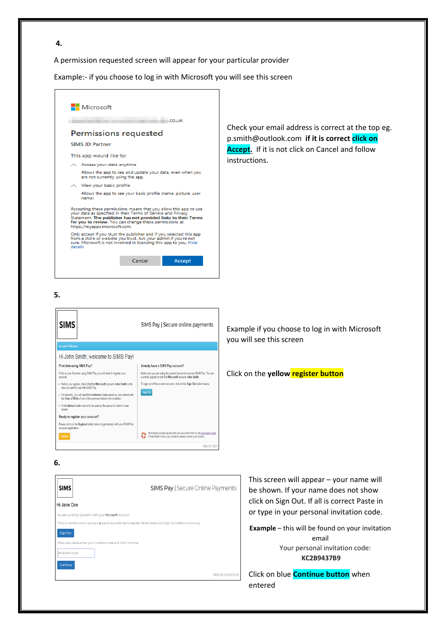A permission requested screen will appear for your particular provider

Example:- if you choose to log in with Microsoft you will see this screen



**6.**



This screen will appear – your name will be shown. If your name does not show click on Sign Out. If all is correct Paste in or type in your personal invitation code.

**Example** – this will be found on your invitation email Your personal invitation code: **KC2B9437B9**

Click on blue **Continue button** when entered

#### **4.**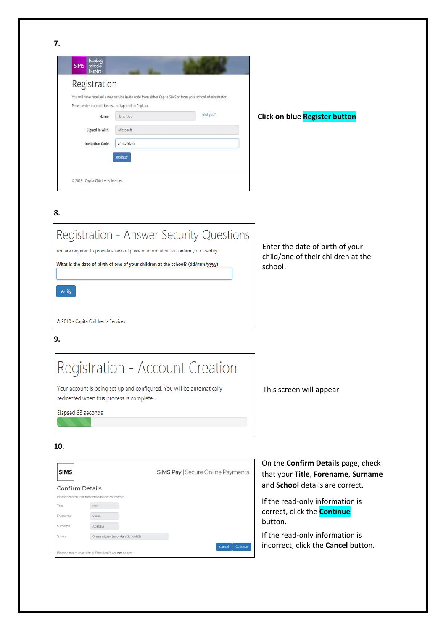| Registration                                           |            |                                                                                                             |
|--------------------------------------------------------|------------|-------------------------------------------------------------------------------------------------------------|
|                                                        |            | You will have received a new service invite code from either Capita SIMS or from your school administrator. |
| Please enter the code below and tap or click Register. |            |                                                                                                             |
| Name                                                   | Jane Doe   | (not you?)                                                                                                  |
| Signed in with                                         | Microsoft  |                                                                                                             |
| <b>Invitation Code</b>                                 | zNkcSYeB6n |                                                                                                             |
|                                                        | Register   |                                                                                                             |

## **Click on blue Register button**

**8.**

# Registration - Answer Security Questions You are required to provide a second piece of information to confirm your identity. What is the date of birth of one of your children at the school? (dd/mm/yyyy) Verify © 2018 - Capita Children's Services

Enter the date of birth of your child/one of their children at the school.

## **9.**

# Registration - Account Creation

Your account is being set up and configured. You will be automatically redirected when this process is complete...

Elapsed 33 seconds

This screen will appear

**10.**

| <b>SIMS</b>            |                                                            | <b>SIMS Pay   Secure Online Payments</b> |
|------------------------|------------------------------------------------------------|------------------------------------------|
| <b>Confirm Details</b> |                                                            |                                          |
|                        | Please confirm that the details below are correct.         |                                          |
| Title                  | Mrs                                                        |                                          |
| Forename               | Karen                                                      |                                          |
| Surname                | Adebayi                                                    |                                          |
| School                 | Green Abbey Secondary School (2)                           |                                          |
|                        | Please contact your school if the details are not correct. | <b>Continue</b><br>Cancel                |

On the **Confirm Details** page, check that your **Title**, **Forename**, **Surname** and **School** details are correct.

If the read-only information is correct, click the **Continue** button.

If the read-only information is incorrect, click the **Cancel** button.

**7.**